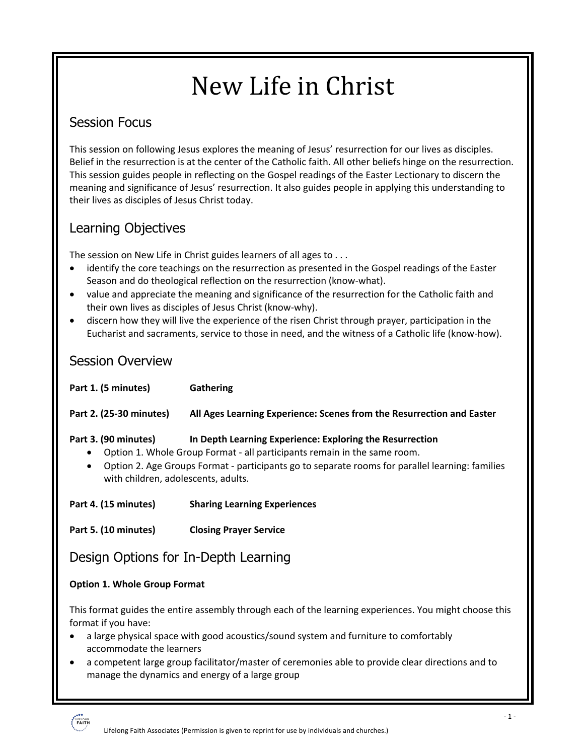# New Life in Christ

## Session Focus

This session on following Jesus explores the meaning of Jesus' resurrection for our lives as disciples. Belief in the resurrection is at the center of the Catholic faith. All other beliefs hinge on the resurrection. This session guides people in reflecting on the Gospel readings of the Easter Lectionary to discern the meaning and significance of Jesus' resurrection. It also guides people in applying this understanding to their lives as disciples of Jesus Christ today.

## Learning Objectives

The session on New Life in Christ guides learners of all ages to . . .

- identify the core teachings on the resurrection as presented in the Gospel readings of the Easter Season and do theological reflection on the resurrection (know-what).
- value and appreciate the meaning and significance of the resurrection for the Catholic faith and their own lives as disciples of Jesus Christ (know-why).
- discern how they will live the experience of the risen Christ through prayer, participation in the Eucharist and sacraments, service to those in need, and the witness of a Catholic life (know-how).

## Session Overview

| Part 1. (5 minutes)                                                                                                                                                                                                                                                                                                 | Gathering                                                             |
|---------------------------------------------------------------------------------------------------------------------------------------------------------------------------------------------------------------------------------------------------------------------------------------------------------------------|-----------------------------------------------------------------------|
| Part 2. (25-30 minutes)                                                                                                                                                                                                                                                                                             | All Ages Learning Experience: Scenes from the Resurrection and Easter |
| Part 3. (90 minutes)<br>In Depth Learning Experience: Exploring the Resurrection<br>Option 1. Whole Group Format - all participants remain in the same room.<br>Option 2. Age Groups Format - participants go to separate rooms for parallel learning: families<br>$\bullet$<br>with children, adolescents, adults. |                                                                       |
| Part 4. (15 minutes)                                                                                                                                                                                                                                                                                                | <b>Sharing Learning Experiences</b>                                   |
| Part 5. (10 minutes)                                                                                                                                                                                                                                                                                                | <b>Closing Prayer Service</b>                                         |
| Design Options for In-Depth Learning                                                                                                                                                                                                                                                                                |                                                                       |
| <b>Option 1. Whole Group Format</b>                                                                                                                                                                                                                                                                                 |                                                                       |
| This format guides the entire assembly through each of the learning experiences. You might choose this<br>format if you have:                                                                                                                                                                                       |                                                                       |

- a large physical space with good acoustics/sound system and furniture to comfortably accommodate the learners
- a competent large group facilitator/master of ceremonies able to provide clear directions and to manage the dynamics and energy of a large group

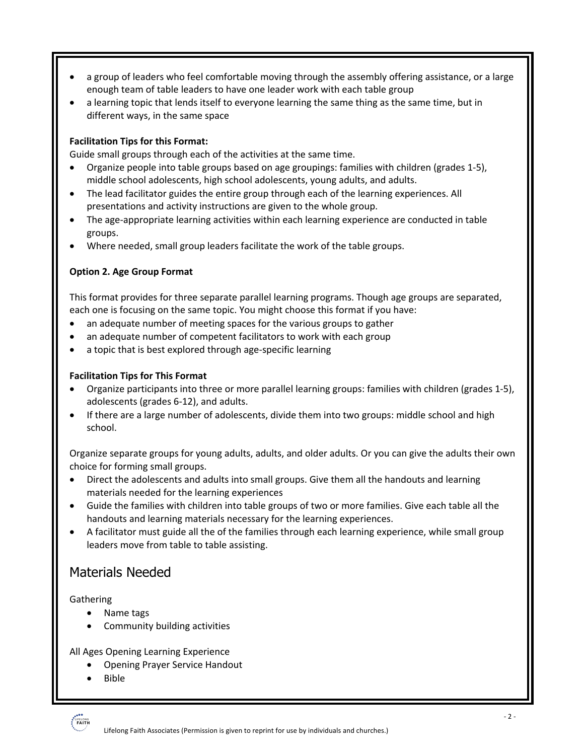- a group of leaders who feel comfortable moving through the assembly offering assistance, or a large enough team of table leaders to have one leader work with each table group
- a learning topic that lends itself to everyone learning the same thing as the same time, but in different ways, in the same space

#### **Facilitation Tips for this Format:**

Guide small groups through each of the activities at the same time.

- Organize people into table groups based on age groupings: families with children (grades 1-5), middle school adolescents, high school adolescents, young adults, and adults.
- The lead facilitator guides the entire group through each of the learning experiences. All presentations and activity instructions are given to the whole group.
- The age-appropriate learning activities within each learning experience are conducted in table groups.
- Where needed, small group leaders facilitate the work of the table groups.

#### **Option 2. Age Group Format**

This format provides for three separate parallel learning programs. Though age groups are separated, each one is focusing on the same topic. You might choose this format if you have:

- an adequate number of meeting spaces for the various groups to gather
- an adequate number of competent facilitators to work with each group
- a topic that is best explored through age-specific learning

#### **Facilitation Tips for This Format**

- Organize participants into three or more parallel learning groups: families with children (grades 1-5), adolescents (grades 6-12), and adults.
- If there are a large number of adolescents, divide them into two groups: middle school and high school.

Organize separate groups for young adults, adults, and older adults. Or you can give the adults their own choice for forming small groups.

- Direct the adolescents and adults into small groups. Give them all the handouts and learning materials needed for the learning experiences
- Guide the families with children into table groups of two or more families. Give each table all the handouts and learning materials necessary for the learning experiences.
- A facilitator must guide all the of the families through each learning experience, while small group leaders move from table to table assisting.

#### Materials Needed

**Gathering** 

- Name tags
	- Community building activities

All Ages Opening Learning Experience

- Opening Prayer Service Handout
- Bible

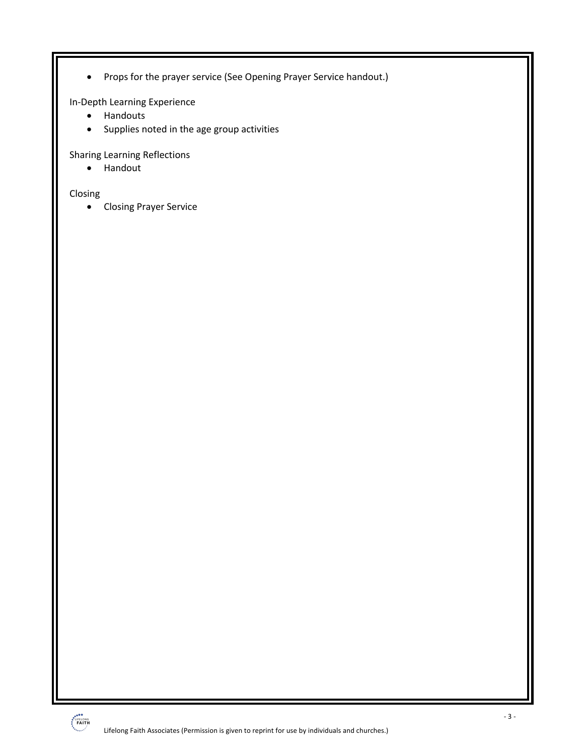• Props for the prayer service (See Opening Prayer Service handout.)

In-Depth Learning Experience

- Handouts
- Supplies noted in the age group activities

Sharing Learning Reflections

• Handout

Closing

• Closing Prayer Service

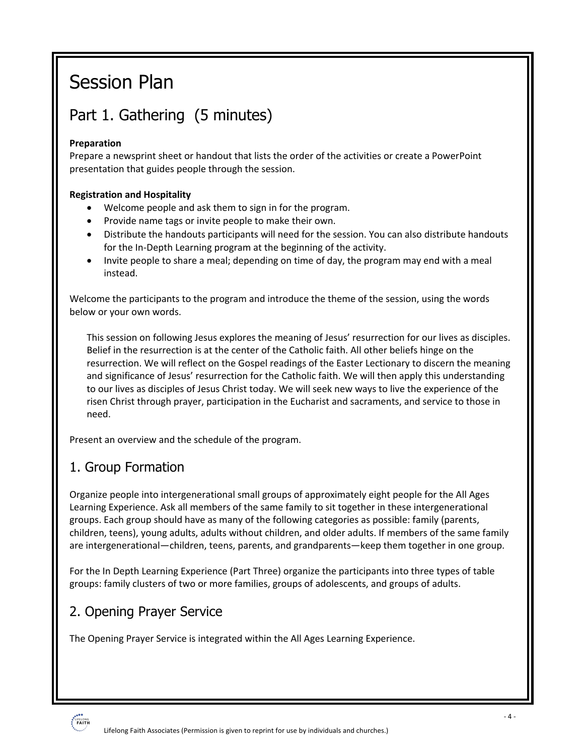## Session Plan

## Part 1. Gathering (5 minutes)

#### **Preparation**

Prepare a newsprint sheet or handout that lists the order of the activities or create a PowerPoint presentation that guides people through the session.

#### **Registration and Hospitality**

- Welcome people and ask them to sign in for the program.
- Provide name tags or invite people to make their own.
- Distribute the handouts participants will need for the session. You can also distribute handouts for the In-Depth Learning program at the beginning of the activity.
- Invite people to share a meal; depending on time of day, the program may end with a meal instead.

Welcome the participants to the program and introduce the theme of the session, using the words below or your own words.

This session on following Jesus explores the meaning of Jesus' resurrection for our lives as disciples. Belief in the resurrection is at the center of the Catholic faith. All other beliefs hinge on the resurrection. We will reflect on the Gospel readings of the Easter Lectionary to discern the meaning and significance of Jesus' resurrection for the Catholic faith. We will then apply this understanding to our lives as disciples of Jesus Christ today. We will seek new ways to live the experience of the risen Christ through prayer, participation in the Eucharist and sacraments, and service to those in need.

Present an overview and the schedule of the program.

## 1. Group Formation

Organize people into intergenerational small groups of approximately eight people for the All Ages Learning Experience. Ask all members of the same family to sit together in these intergenerational groups. Each group should have as many of the following categories as possible: family (parents, children, teens), young adults, adults without children, and older adults. If members of the same family are intergenerational—children, teens, parents, and grandparents—keep them together in one group.

For the In Depth Learning Experience (Part Three) organize the participants into three types of table groups: family clusters of two or more families, groups of adolescents, and groups of adults.

## 2. Opening Prayer Service

The Opening Prayer Service is integrated within the All Ages Learning Experience.

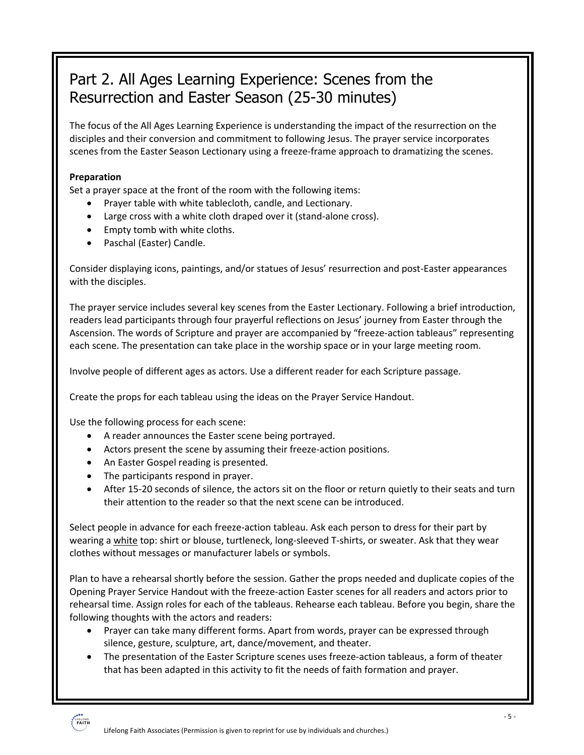## Part 2. All Ages Learning Experience: Scenes from the Resurrection and Easter Season (25-30 minutes)

The focus of the All Ages Learning Experience is understanding the impact of the resurrection on the disciples and their conversion and commitment to following Jesus. The prayer service incorporates scenes from the Easter Season Lectionary using a freeze-frame approach to dramatizing the scenes.

#### **Preparation**

Set a prayer space at the front of the room with the following items:

- Prayer table with white tablecloth, candle, and Lectionary.
- Large cross with a white cloth draped over it (stand-alone cross).
- Empty tomb with white cloths.
- Paschal (Easter) Candle.

Consider displaying icons, paintings, and/or statues of Jesus' resurrection and post-Easter appearances with the disciples.

The prayer service includes several key scenes from the Easter Lectionary. Following a brief introduction, readers lead participants through four prayerful reflections on Jesus' journey from Easter through the Ascension. The words of Scripture and prayer are accompanied by "freeze-action tableaus" representing each scene. The presentation can take place in the worship space or in your large meeting room.

Involve people of different ages as actors. Use a different reader for each Scripture passage.

Create the props for each tableau using the ideas on the Prayer Service Handout.

Use the following process for each scene:

- A reader announces the Easter scene being portrayed.
- Actors present the scene by assuming their freeze-action positions.
- An Easter Gospel reading is presented.
- The participants respond in prayer.
- After 15-20 seconds of silence, the actors sit on the floor or return quietly to their seats and turn their attention to the reader so that the next scene can be introduced.

Select people in advance for each freeze-action tableau. Ask each person to dress for their part by wearing a white top: shirt or blouse, turtleneck, long-sleeved T-shirts, or sweater. Ask that they wear clothes without messages or manufacturer labels or symbols.

Plan to have a rehearsal shortly before the session. Gather the props needed and duplicate copies of the Opening Prayer Service Handout with the freeze-action Easter scenes for all readers and actors prior to rehearsal time. Assign roles for each of the tableaus. Rehearse each tableau. Before you begin, share the following thoughts with the actors and readers:

- Prayer can take many different forms. Apart from words, prayer can be expressed through silence, gesture, sculpture, art, dance/movement, and theater.
- The presentation of the Easter Scripture scenes uses freeze-action tableaus, a form of theater that has been adapted in this activity to fit the needs of faith formation and prayer.

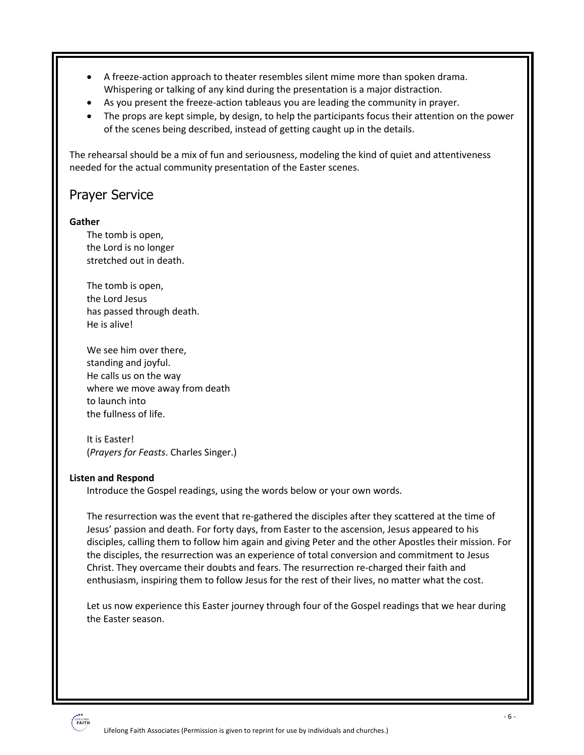- A freeze-action approach to theater resembles silent mime more than spoken drama. Whispering or talking of any kind during the presentation is a major distraction.
- As you present the freeze-action tableaus you are leading the community in prayer.
- The props are kept simple, by design, to help the participants focus their attention on the power of the scenes being described, instead of getting caught up in the details.

The rehearsal should be a mix of fun and seriousness, modeling the kind of quiet and attentiveness needed for the actual community presentation of the Easter scenes.

## Prayer Service

#### **Gather**

The tomb is open, the Lord is no longer stretched out in death.

The tomb is open, the Lord Jesus has passed through death. He is alive!

We see him over there, standing and joyful. He calls us on the way where we move away from death to launch into the fullness of life.

It is Easter! (*Prayers for Feasts*. Charles Singer.)

#### **Listen and Respond**

Introduce the Gospel readings, using the words below or your own words.

The resurrection was the event that re-gathered the disciples after they scattered at the time of Jesus' passion and death. For forty days, from Easter to the ascension, Jesus appeared to his disciples, calling them to follow him again and giving Peter and the other Apostles their mission. For the disciples, the resurrection was an experience of total conversion and commitment to Jesus Christ. They overcame their doubts and fears. The resurrection re-charged their faith and enthusiasm, inspiring them to follow Jesus for the rest of their lives, no matter what the cost.

Let us now experience this Easter journey through four of the Gospel readings that we hear during the Easter season.

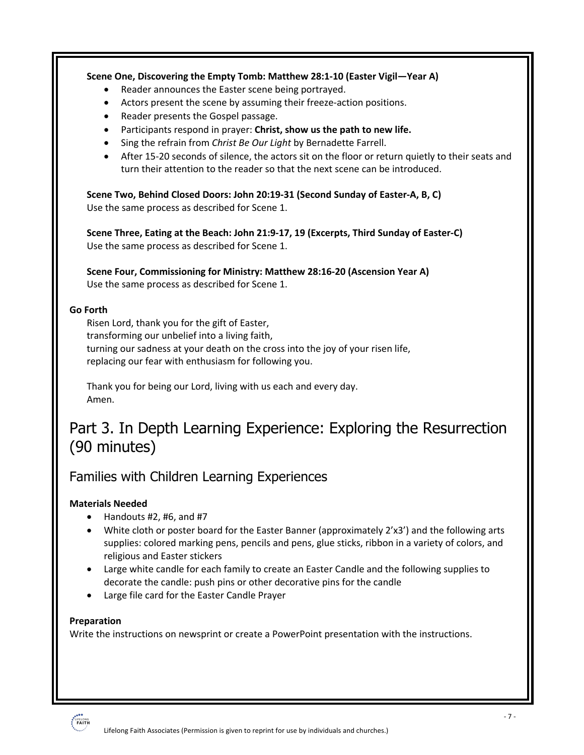## **Scene One, Discovering the Empty Tomb: Matthew 28:1-10 (Easter Vigil—Year A)** Reader announces the Easter scene being portrayed. • Actors present the scene by assuming their freeze-action positions. • Reader presents the Gospel passage. • Participants respond in prayer: **Christ, show us the path to new life.**  • Sing the refrain from *Christ Be Our Light* by Bernadette Farrell. • After 15-20 seconds of silence, the actors sit on the floor or return quietly to their seats and turn their attention to the reader so that the next scene can be introduced. **Scene Two, Behind Closed Doors: John 20:19-31 (Second Sunday of Easter-A, B, C)** Use the same process as described for Scene 1. **Scene Three, Eating at the Beach: John 21:9-17, 19 (Excerpts, Third Sunday of Easter-C)** Use the same process as described for Scene 1. **Scene Four, Commissioning for Ministry: Matthew 28:16-20 (Ascension Year A)** Use the same process as described for Scene 1. **Go Forth** Risen Lord, thank you for the gift of Easter, transforming our unbelief into a living faith, turning our sadness at your death on the cross into the joy of your risen life, replacing our fear with enthusiasm for following you. Thank you for being our Lord, living with us each and every day. Amen. Part 3. In Depth Learning Experience: Exploring the Resurrection (90 minutes) Families with Children Learning Experiences

#### **Materials Needed**

- Handouts  $#2, #6, and #7$
- White cloth or poster board for the Easter Banner (approximately 2'x3') and the following arts supplies: colored marking pens, pencils and pens, glue sticks, ribbon in a variety of colors, and religious and Easter stickers
- Large white candle for each family to create an Easter Candle and the following supplies to decorate the candle: push pins or other decorative pins for the candle
- Large file card for the Easter Candle Prayer

#### **Preparation**

Write the instructions on newsprint or create a PowerPoint presentation with the instructions.

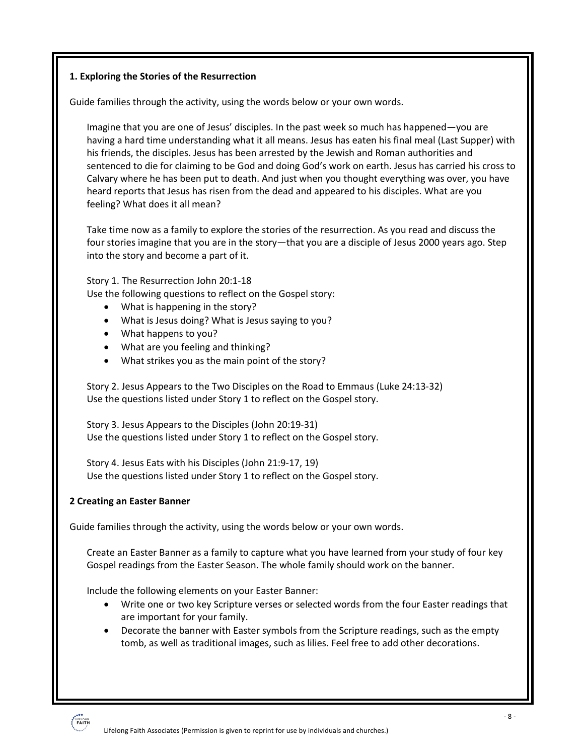#### **1. Exploring the Stories of the Resurrection**

Guide families through the activity, using the words below or your own words.

Imagine that you are one of Jesus' disciples. In the past week so much has happened—you are having a hard time understanding what it all means. Jesus has eaten his final meal (Last Supper) with his friends, the disciples. Jesus has been arrested by the Jewish and Roman authorities and sentenced to die for claiming to be God and doing God's work on earth. Jesus has carried his cross to Calvary where he has been put to death. And just when you thought everything was over, you have heard reports that Jesus has risen from the dead and appeared to his disciples. What are you feeling? What does it all mean?

Take time now as a family to explore the stories of the resurrection. As you read and discuss the four stories imagine that you are in the story—that you are a disciple of Jesus 2000 years ago. Step into the story and become a part of it.

Story 1. The Resurrection John 20:1-18

Use the following questions to reflect on the Gospel story:

- What is happening in the story?
- What is Jesus doing? What is Jesus saying to you?
- What happens to you?
- What are you feeling and thinking?
- What strikes you as the main point of the story?

Story 2. Jesus Appears to the Two Disciples on the Road to Emmaus (Luke 24:13-32) Use the questions listed under Story 1 to reflect on the Gospel story.

Story 3. Jesus Appears to the Disciples (John 20:19-31) Use the questions listed under Story 1 to reflect on the Gospel story.

Story 4. Jesus Eats with his Disciples (John 21:9-17, 19) Use the questions listed under Story 1 to reflect on the Gospel story.

#### **2 Creating an Easter Banner**

Guide families through the activity, using the words below or your own words.

Create an Easter Banner as a family to capture what you have learned from your study of four key Gospel readings from the Easter Season. The whole family should work on the banner.

Include the following elements on your Easter Banner:

- Write one or two key Scripture verses or selected words from the four Easter readings that are important for your family.
- Decorate the banner with Easter symbols from the Scripture readings, such as the empty tomb, as well as traditional images, such as lilies. Feel free to add other decorations.

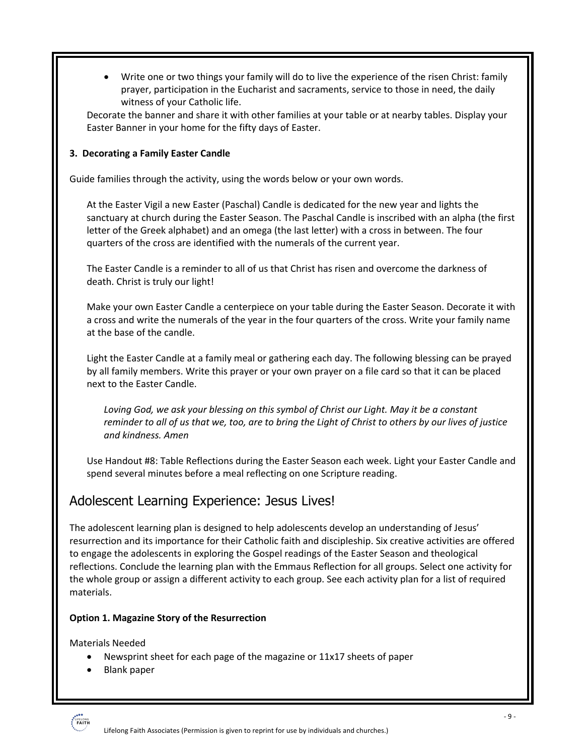• Write one or two things your family will do to live the experience of the risen Christ: family prayer, participation in the Eucharist and sacraments, service to those in need, the daily witness of your Catholic life.

Decorate the banner and share it with other families at your table or at nearby tables. Display your Easter Banner in your home for the fifty days of Easter.

#### **3. Decorating a Family Easter Candle**

Guide families through the activity, using the words below or your own words.

At the Easter Vigil a new Easter (Paschal) Candle is dedicated for the new year and lights the sanctuary at church during the Easter Season. The Paschal Candle is inscribed with an alpha (the first letter of the Greek alphabet) and an omega (the last letter) with a cross in between. The four quarters of the cross are identified with the numerals of the current year.

The Easter Candle is a reminder to all of us that Christ has risen and overcome the darkness of death. Christ is truly our light!

Make your own Easter Candle a centerpiece on your table during the Easter Season. Decorate it with a cross and write the numerals of the year in the four quarters of the cross. Write your family name at the base of the candle.

Light the Easter Candle at a family meal or gathering each day. The following blessing can be prayed by all family members. Write this prayer or your own prayer on a file card so that it can be placed next to the Easter Candle.

*Loving God, we ask your blessing on this symbol of Christ our Light. May it be a constant reminder to all of us that we, too, are to bring the Light of Christ to others by our lives of justice and kindness. Amen*

Use Handout #8: Table Reflections during the Easter Season each week. Light your Easter Candle and spend several minutes before a meal reflecting on one Scripture reading.

## Adolescent Learning Experience: Jesus Lives!

The adolescent learning plan is designed to help adolescents develop an understanding of Jesus' resurrection and its importance for their Catholic faith and discipleship. Six creative activities are offered to engage the adolescents in exploring the Gospel readings of the Easter Season and theological reflections. Conclude the learning plan with the Emmaus Reflection for all groups. Select one activity for the whole group or assign a different activity to each group. See each activity plan for a list of required materials.

#### **Option 1. Magazine Story of the Resurrection**

Materials Needed

- Newsprint sheet for each page of the magazine or 11x17 sheets of paper
- Blank paper

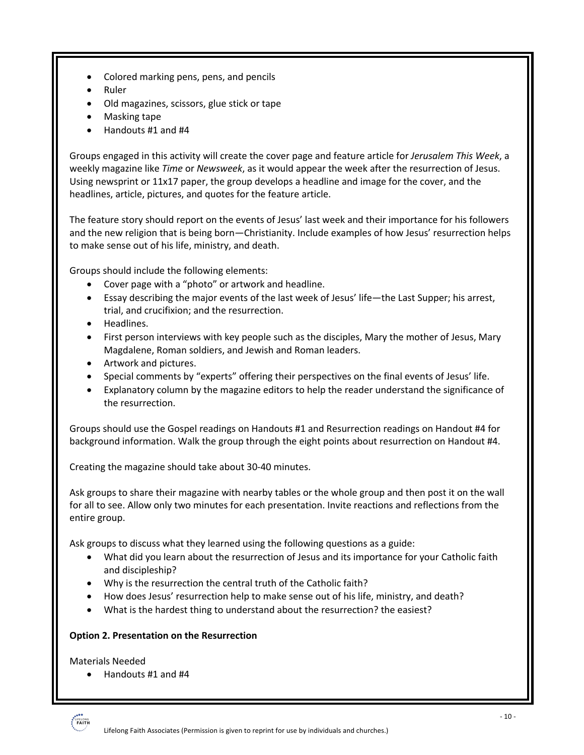- Colored marking pens, pens, and pencils
- Ruler
- Old magazines, scissors, glue stick or tape
- Masking tape
- Handouts #1 and #4

Groups engaged in this activity will create the cover page and feature article for *Jerusalem This Week*, a weekly magazine like *Time* or *Newsweek*, as it would appear the week after the resurrection of Jesus. Using newsprint or 11x17 paper, the group develops a headline and image for the cover, and the headlines, article, pictures, and quotes for the feature article.

The feature story should report on the events of Jesus' last week and their importance for his followers and the new religion that is being born—Christianity. Include examples of how Jesus' resurrection helps to make sense out of his life, ministry, and death.

Groups should include the following elements:

- Cover page with a "photo" or artwork and headline.
- Essay describing the major events of the last week of Jesus' life—the Last Supper; his arrest, trial, and crucifixion; and the resurrection.
- Headlines.
- First person interviews with key people such as the disciples, Mary the mother of Jesus, Mary Magdalene, Roman soldiers, and Jewish and Roman leaders.
- Artwork and pictures.
- Special comments by "experts" offering their perspectives on the final events of Jesus' life.
- Explanatory column by the magazine editors to help the reader understand the significance of the resurrection.

Groups should use the Gospel readings on Handouts #1 and Resurrection readings on Handout #4 for background information. Walk the group through the eight points about resurrection on Handout #4.

Creating the magazine should take about 30-40 minutes.

Ask groups to share their magazine with nearby tables or the whole group and then post it on the wall for all to see. Allow only two minutes for each presentation. Invite reactions and reflections from the entire group.

Ask groups to discuss what they learned using the following questions as a guide:

- What did you learn about the resurrection of Jesus and its importance for your Catholic faith and discipleship?
- Why is the resurrection the central truth of the Catholic faith?
- How does Jesus' resurrection help to make sense out of his life, ministry, and death?
- What is the hardest thing to understand about the resurrection? the easiest?

#### **Option 2. Presentation on the Resurrection**

Materials Needed

• Handouts #1 and #4

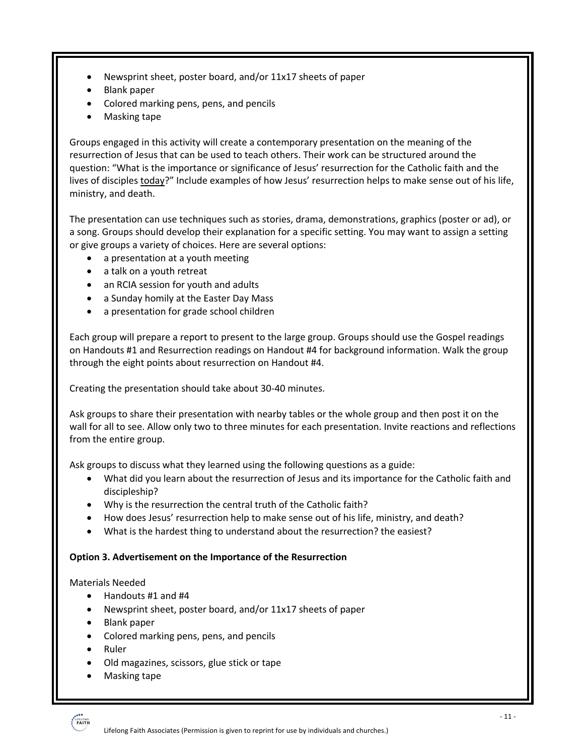- Newsprint sheet, poster board, and/or 11x17 sheets of paper
- Blank paper
- Colored marking pens, pens, and pencils
- Masking tape

Groups engaged in this activity will create a contemporary presentation on the meaning of the resurrection of Jesus that can be used to teach others. Their work can be structured around the question: "What is the importance or significance of Jesus' resurrection for the Catholic faith and the lives of disciples **today?**" Include examples of how Jesus' resurrection helps to make sense out of his life, ministry, and death.

The presentation can use techniques such as stories, drama, demonstrations, graphics (poster or ad), or a song. Groups should develop their explanation for a specific setting. You may want to assign a setting or give groups a variety of choices. Here are several options:

- a presentation at a youth meeting
- a talk on a youth retreat
- an RCIA session for youth and adults
- a Sunday homily at the Easter Day Mass
- a presentation for grade school children

Each group will prepare a report to present to the large group. Groups should use the Gospel readings on Handouts #1 and Resurrection readings on Handout #4 for background information. Walk the group through the eight points about resurrection on Handout #4.

Creating the presentation should take about 30-40 minutes.

Ask groups to share their presentation with nearby tables or the whole group and then post it on the wall for all to see. Allow only two to three minutes for each presentation. Invite reactions and reflections from the entire group.

Ask groups to discuss what they learned using the following questions as a guide:

- What did you learn about the resurrection of Jesus and its importance for the Catholic faith and discipleship?
- Why is the resurrection the central truth of the Catholic faith?
- How does Jesus' resurrection help to make sense out of his life, ministry, and death?
- What is the hardest thing to understand about the resurrection? the easiest?

#### **Option 3. Advertisement on the Importance of the Resurrection**

#### Materials Needed

- Handouts #1 and #4
- Newsprint sheet, poster board, and/or 11x17 sheets of paper
- Blank paper
- Colored marking pens, pens, and pencils
- Ruler
- Old magazines, scissors, glue stick or tape
- Masking tape

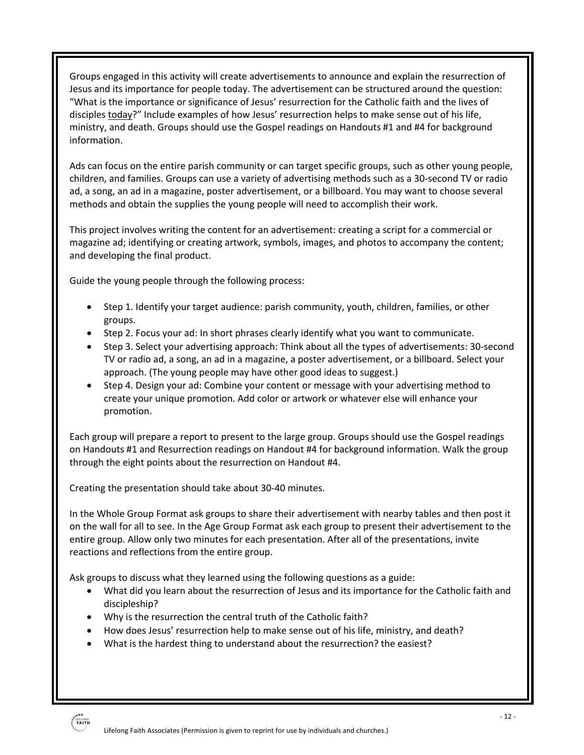Groups engaged in this activity will create advertisements to announce and explain the resurrection of Jesus and its importance for people today. The advertisement can be structured around the question: "What is the importance or significance of Jesus' resurrection for the Catholic faith and the lives of disciples today?" Include examples of how Jesus' resurrection helps to make sense out of his life, ministry, and death. Groups should use the Gospel readings on Handouts #1 and #4 for background information.

Ads can focus on the entire parish community or can target specific groups, such as other young people, children, and families. Groups can use a variety of advertising methods such as a 30-second TV or radio ad, a song, an ad in a magazine, poster advertisement, or a billboard. You may want to choose several methods and obtain the supplies the young people will need to accomplish their work.

This project involves writing the content for an advertisement: creating a script for a commercial or magazine ad; identifying or creating artwork, symbols, images, and photos to accompany the content; and developing the final product.

Guide the young people through the following process:

- Step 1. Identify your target audience: parish community, youth, children, families, or other groups.
- Step 2. Focus your ad: In short phrases clearly identify what you want to communicate.
- Step 3. Select your advertising approach: Think about all the types of advertisements: 30-second TV or radio ad, a song, an ad in a magazine, a poster advertisement, or a billboard. Select your approach. (The young people may have other good ideas to suggest.)
- Step 4. Design your ad: Combine your content or message with your advertising method to create your unique promotion. Add color or artwork or whatever else will enhance your promotion.

Each group will prepare a report to present to the large group. Groups should use the Gospel readings on Handouts #1 and Resurrection readings on Handout #4 for background information. Walk the group through the eight points about the resurrection on Handout #4.

Creating the presentation should take about 30-40 minutes.

In the Whole Group Format ask groups to share their advertisement with nearby tables and then post it on the wall for all to see. In the Age Group Format ask each group to present their advertisement to the entire group. Allow only two minutes for each presentation. After all of the presentations, invite reactions and reflections from the entire group.

Ask groups to discuss what they learned using the following questions as a guide:

- What did you learn about the resurrection of Jesus and its importance for the Catholic faith and discipleship?
- Why is the resurrection the central truth of the Catholic faith?
- How does Jesus' resurrection help to make sense out of his life, ministry, and death?
- What is the hardest thing to understand about the resurrection? the easiest?

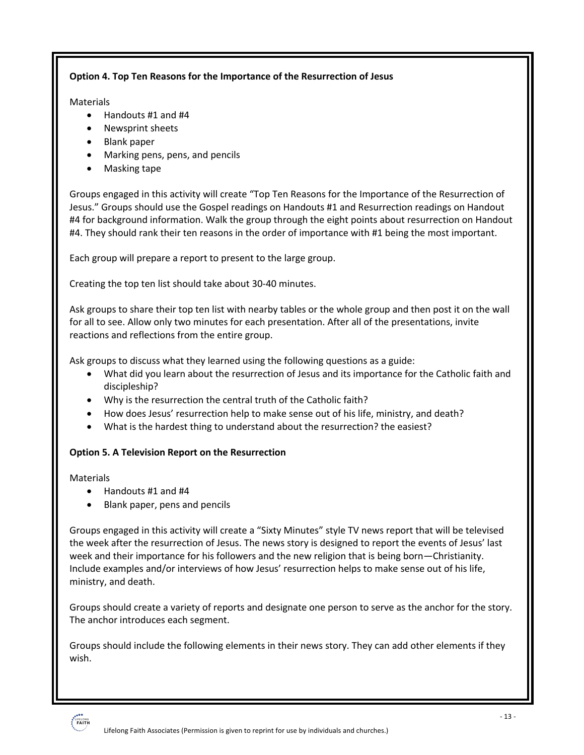#### **Option 4. Top Ten Reasons for the Importance of the Resurrection of Jesus**

#### **Materials**

- Handouts #1 and #4
- Newsprint sheets
- Blank paper
- Marking pens, pens, and pencils
- Masking tape

Groups engaged in this activity will create "Top Ten Reasons for the Importance of the Resurrection of Jesus." Groups should use the Gospel readings on Handouts #1 and Resurrection readings on Handout #4 for background information. Walk the group through the eight points about resurrection on Handout #4. They should rank their ten reasons in the order of importance with #1 being the most important.

Each group will prepare a report to present to the large group.

Creating the top ten list should take about 30-40 minutes.

Ask groups to share their top ten list with nearby tables or the whole group and then post it on the wall for all to see. Allow only two minutes for each presentation. After all of the presentations, invite reactions and reflections from the entire group.

Ask groups to discuss what they learned using the following questions as a guide:

- What did you learn about the resurrection of Jesus and its importance for the Catholic faith and discipleship?
- Why is the resurrection the central truth of the Catholic faith?
- How does Jesus' resurrection help to make sense out of his life, ministry, and death?
- What is the hardest thing to understand about the resurrection? the easiest?

#### **Option 5. A Television Report on the Resurrection**

Materials

- Handouts #1 and #4
- Blank paper, pens and pencils

Groups engaged in this activity will create a "Sixty Minutes" style TV news report that will be televised the week after the resurrection of Jesus. The news story is designed to report the events of Jesus' last week and their importance for his followers and the new religion that is being born—Christianity. Include examples and/or interviews of how Jesus' resurrection helps to make sense out of his life, ministry, and death.

Groups should create a variety of reports and designate one person to serve as the anchor for the story. The anchor introduces each segment.

Groups should include the following elements in their news story. They can add other elements if they wish.

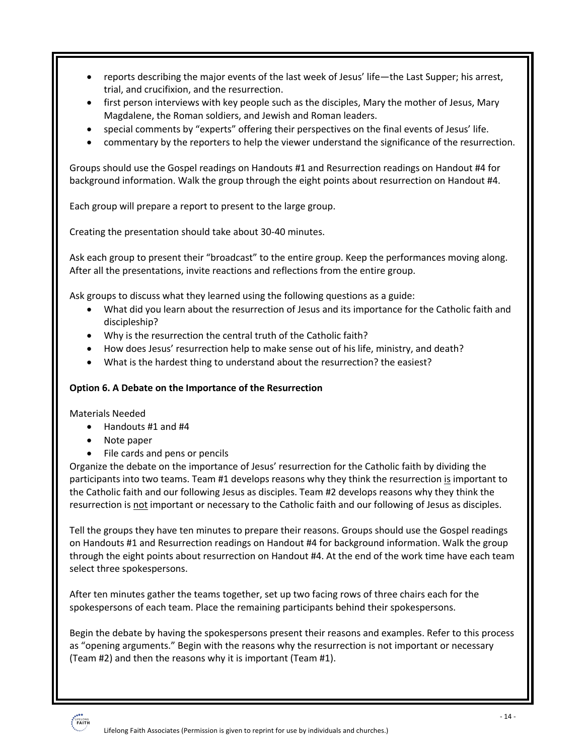- reports describing the major events of the last week of Jesus' life—the Last Supper; his arrest, trial, and crucifixion, and the resurrection.
- first person interviews with key people such as the disciples, Mary the mother of Jesus, Mary Magdalene, the Roman soldiers, and Jewish and Roman leaders.
- special comments by "experts" offering their perspectives on the final events of Jesus' life.
- commentary by the reporters to help the viewer understand the significance of the resurrection.

Groups should use the Gospel readings on Handouts #1 and Resurrection readings on Handout #4 for background information. Walk the group through the eight points about resurrection on Handout #4.

Each group will prepare a report to present to the large group.

Creating the presentation should take about 30-40 minutes.

Ask each group to present their "broadcast" to the entire group. Keep the performances moving along. After all the presentations, invite reactions and reflections from the entire group.

Ask groups to discuss what they learned using the following questions as a guide:

- What did you learn about the resurrection of Jesus and its importance for the Catholic faith and discipleship?
- Why is the resurrection the central truth of the Catholic faith?
- How does Jesus' resurrection help to make sense out of his life, ministry, and death?
- What is the hardest thing to understand about the resurrection? the easiest?

#### **Option 6. A Debate on the Importance of the Resurrection**

Materials Needed

- Handouts #1 and #4
- Note paper
- File cards and pens or pencils

Organize the debate on the importance of Jesus' resurrection for the Catholic faith by dividing the participants into two teams. Team #1 develops reasons why they think the resurrection is important to the Catholic faith and our following Jesus as disciples. Team #2 develops reasons why they think the resurrection is not important or necessary to the Catholic faith and our following of Jesus as disciples.

Tell the groups they have ten minutes to prepare their reasons. Groups should use the Gospel readings on Handouts #1 and Resurrection readings on Handout #4 for background information. Walk the group through the eight points about resurrection on Handout #4. At the end of the work time have each team select three spokespersons.

After ten minutes gather the teams together, set up two facing rows of three chairs each for the spokespersons of each team. Place the remaining participants behind their spokespersons.

Begin the debate by having the spokespersons present their reasons and examples. Refer to this process as "opening arguments." Begin with the reasons why the resurrection is not important or necessary (Team #2) and then the reasons why it is important (Team #1).

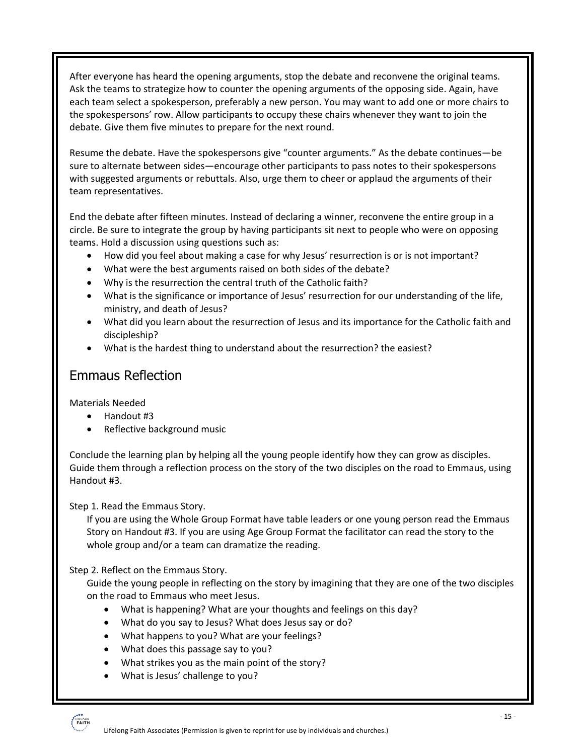After everyone has heard the opening arguments, stop the debate and reconvene the original teams. Ask the teams to strategize how to counter the opening arguments of the opposing side. Again, have each team select a spokesperson, preferably a new person. You may want to add one or more chairs to the spokespersons' row. Allow participants to occupy these chairs whenever they want to join the debate. Give them five minutes to prepare for the next round.

Resume the debate. Have the spokespersons give "counter arguments." As the debate continues—be sure to alternate between sides—encourage other participants to pass notes to their spokespersons with suggested arguments or rebuttals. Also, urge them to cheer or applaud the arguments of their team representatives.

End the debate after fifteen minutes. Instead of declaring a winner, reconvene the entire group in a circle. Be sure to integrate the group by having participants sit next to people who were on opposing teams. Hold a discussion using questions such as:

- How did you feel about making a case for why Jesus' resurrection is or is not important?
- What were the best arguments raised on both sides of the debate?
- Why is the resurrection the central truth of the Catholic faith?
- What is the significance or importance of Jesus' resurrection for our understanding of the life, ministry, and death of Jesus?
- What did you learn about the resurrection of Jesus and its importance for the Catholic faith and discipleship?
- What is the hardest thing to understand about the resurrection? the easiest?

#### Emmaus Reflection

Materials Needed

- Handout #3
- Reflective background music

Conclude the learning plan by helping all the young people identify how they can grow as disciples. Guide them through a reflection process on the story of the two disciples on the road to Emmaus, using Handout #3.

Step 1. Read the Emmaus Story.

If you are using the Whole Group Format have table leaders or one young person read the Emmaus Story on Handout #3. If you are using Age Group Format the facilitator can read the story to the whole group and/or a team can dramatize the reading.

Step 2. Reflect on the Emmaus Story.

Guide the young people in reflecting on the story by imagining that they are one of the two disciples on the road to Emmaus who meet Jesus.

- What is happening? What are your thoughts and feelings on this day?
- What do you say to Jesus? What does Jesus say or do?
- What happens to you? What are your feelings?
- What does this passage say to you?
- What strikes you as the main point of the story?
- What is Jesus' challenge to you?

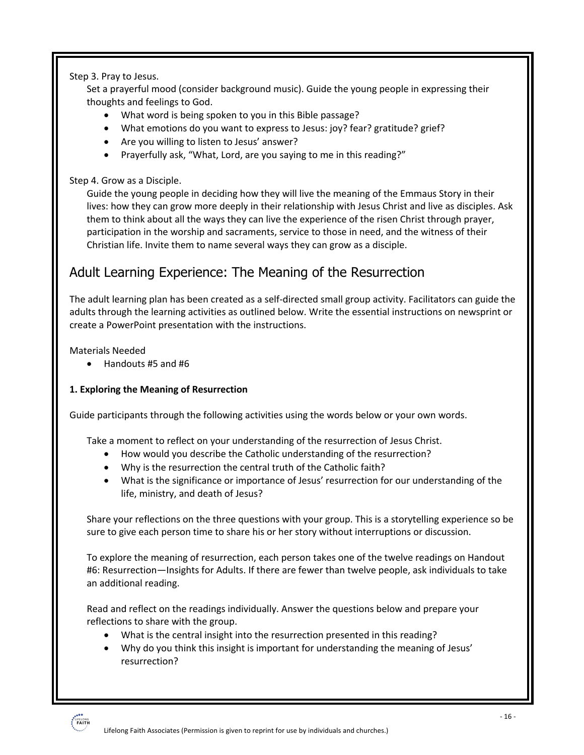Step 3. Pray to Jesus.

Set a prayerful mood (consider background music). Guide the young people in expressing their thoughts and feelings to God.

- What word is being spoken to you in this Bible passage?
- What emotions do you want to express to Jesus: joy? fear? gratitude? grief?
- Are you willing to listen to Jesus' answer?
- Prayerfully ask, "What, Lord, are you saying to me in this reading?"

#### Step 4. Grow as a Disciple.

Guide the young people in deciding how they will live the meaning of the Emmaus Story in their lives: how they can grow more deeply in their relationship with Jesus Christ and live as disciples. Ask them to think about all the ways they can live the experience of the risen Christ through prayer, participation in the worship and sacraments, service to those in need, and the witness of their Christian life. Invite them to name several ways they can grow as a disciple.

## Adult Learning Experience: The Meaning of the Resurrection

The adult learning plan has been created as a self-directed small group activity. Facilitators can guide the adults through the learning activities as outlined below. Write the essential instructions on newsprint or create a PowerPoint presentation with the instructions.

Materials Needed

• Handouts #5 and #6

#### **1. Exploring the Meaning of Resurrection**

Guide participants through the following activities using the words below or your own words.

Take a moment to reflect on your understanding of the resurrection of Jesus Christ.

- How would you describe the Catholic understanding of the resurrection?
- Why is the resurrection the central truth of the Catholic faith?
- What is the significance or importance of Jesus' resurrection for our understanding of the life, ministry, and death of Jesus?

Share your reflections on the three questions with your group. This is a storytelling experience so be sure to give each person time to share his or her story without interruptions or discussion.

To explore the meaning of resurrection, each person takes one of the twelve readings on Handout #6: Resurrection—Insights for Adults. If there are fewer than twelve people, ask individuals to take an additional reading.

Read and reflect on the readings individually. Answer the questions below and prepare your reflections to share with the group.

- What is the central insight into the resurrection presented in this reading?
- Why do you think this insight is important for understanding the meaning of Jesus' resurrection?

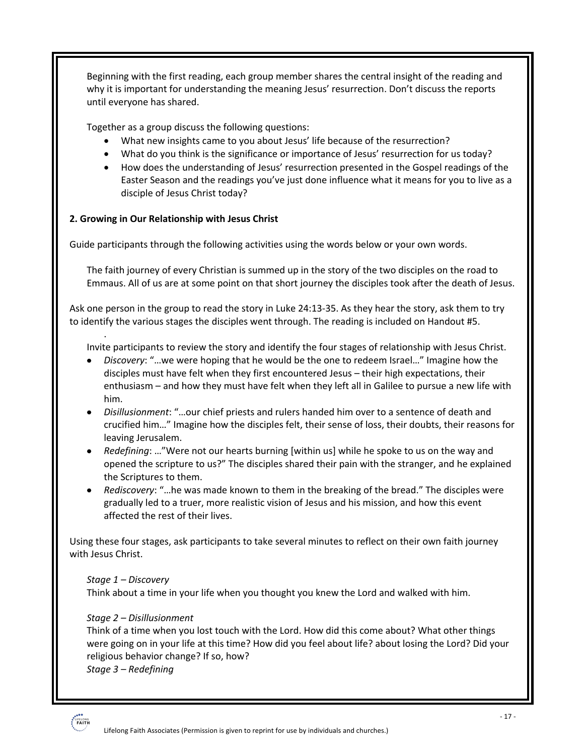Beginning with the first reading, each group member shares the central insight of the reading and why it is important for understanding the meaning Jesus' resurrection. Don't discuss the reports until everyone has shared.

Together as a group discuss the following questions:

- What new insights came to you about Jesus' life because of the resurrection?
- What do you think is the significance or importance of Jesus' resurrection for us today?
- How does the understanding of Jesus' resurrection presented in the Gospel readings of the Easter Season and the readings you've just done influence what it means for you to live as a disciple of Jesus Christ today?

#### **2. Growing in Our Relationship with Jesus Christ**

Guide participants through the following activities using the words below or your own words.

The faith journey of every Christian is summed up in the story of the two disciples on the road to Emmaus. All of us are at some point on that short journey the disciples took after the death of Jesus.

Ask one person in the group to read the story in Luke 24:13-35. As they hear the story, ask them to try to identify the various stages the disciples went through. The reading is included on Handout #5.

Invite participants to review the story and identify the four stages of relationship with Jesus Christ.

- *Discovery*: "…we were hoping that he would be the one to redeem Israel…" Imagine how the disciples must have felt when they first encountered Jesus – their high expectations, their enthusiasm – and how they must have felt when they left all in Galilee to pursue a new life with him.
- *Disillusionment*: "…our chief priests and rulers handed him over to a sentence of death and crucified him…" Imagine how the disciples felt, their sense of loss, their doubts, their reasons for leaving Jerusalem.
- *Redefining*: …"Were not our hearts burning [within us] while he spoke to us on the way and opened the scripture to us?" The disciples shared their pain with the stranger, and he explained the Scriptures to them.
- *Rediscovery*: "…he was made known to them in the breaking of the bread." The disciples were gradually led to a truer, more realistic vision of Jesus and his mission, and how this event affected the rest of their lives.

Using these four stages, ask participants to take several minutes to reflect on their own faith journey with Jesus Christ.

#### *Stage 1 – Discovery*

.

Think about a time in your life when you thought you knew the Lord and walked with him.

#### *Stage 2 – Disillusionment*

Think of a time when you lost touch with the Lord. How did this come about? What other things were going on in your life at this time? How did you feel about life? about losing the Lord? Did your religious behavior change? If so, how?

*Stage 3 – Redefining* 

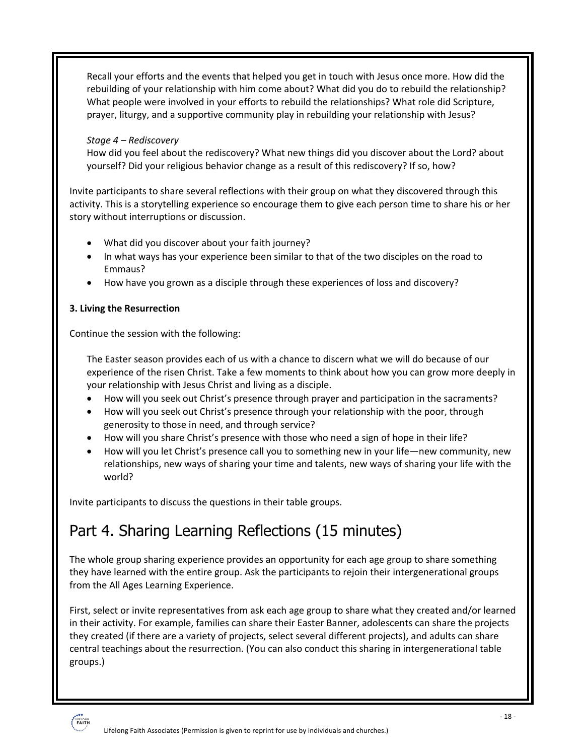Recall your efforts and the events that helped you get in touch with Jesus once more. How did the rebuilding of your relationship with him come about? What did you do to rebuild the relationship? What people were involved in your efforts to rebuild the relationships? What role did Scripture, prayer, liturgy, and a supportive community play in rebuilding your relationship with Jesus?

#### *Stage 4 – Rediscovery*

How did you feel about the rediscovery? What new things did you discover about the Lord? about yourself? Did your religious behavior change as a result of this rediscovery? If so, how?

Invite participants to share several reflections with their group on what they discovered through this activity. This is a storytelling experience so encourage them to give each person time to share his or her story without interruptions or discussion.

- What did you discover about your faith journey?
- In what ways has your experience been similar to that of the two disciples on the road to Emmaus?
- How have you grown as a disciple through these experiences of loss and discovery?

#### **3. Living the Resurrection**

Continue the session with the following:

The Easter season provides each of us with a chance to discern what we will do because of our experience of the risen Christ. Take a few moments to think about how you can grow more deeply in your relationship with Jesus Christ and living as a disciple.

- How will you seek out Christ's presence through prayer and participation in the sacraments?
- How will you seek out Christ's presence through your relationship with the poor, through generosity to those in need, and through service?
- How will you share Christ's presence with those who need a sign of hope in their life?
- How will you let Christ's presence call you to something new in your life—new community, new relationships, new ways of sharing your time and talents, new ways of sharing your life with the world?

Invite participants to discuss the questions in their table groups.

## Part 4. Sharing Learning Reflections (15 minutes)

The whole group sharing experience provides an opportunity for each age group to share something they have learned with the entire group. Ask the participants to rejoin their intergenerational groups from the All Ages Learning Experience.

First, select or invite representatives from ask each age group to share what they created and/or learned in their activity. For example, families can share their Easter Banner, adolescents can share the projects they created (if there are a variety of projects, select several different projects), and adults can share central teachings about the resurrection. (You can also conduct this sharing in intergenerational table groups.)